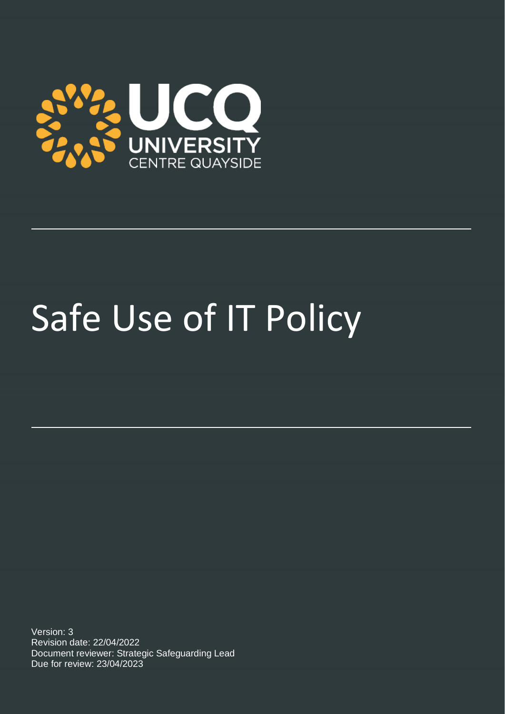

# Safe Use of IT Policy

Version: 3 Revision date: 22/04/2022 Document reviewer: Strategic Safeguarding Lead Due for review: 23/04/2023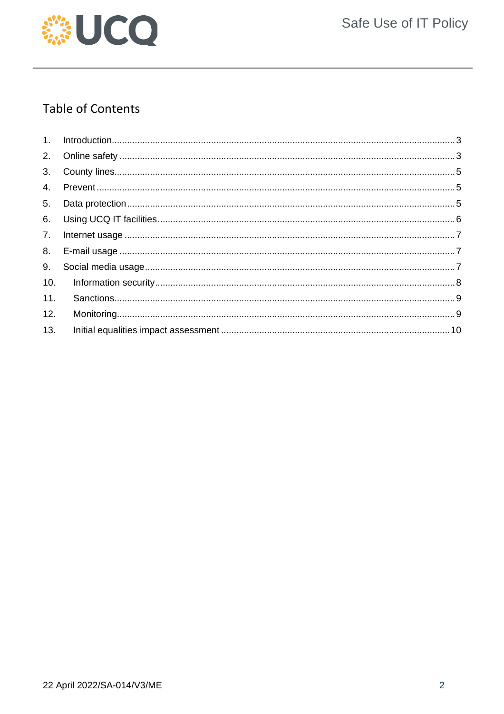

## **Table of Contents**

| 4.  |  |
|-----|--|
| 5.  |  |
| 6.  |  |
| 7.  |  |
| 8.  |  |
| 9.  |  |
| 10. |  |
| 11. |  |
| 12. |  |
| 13. |  |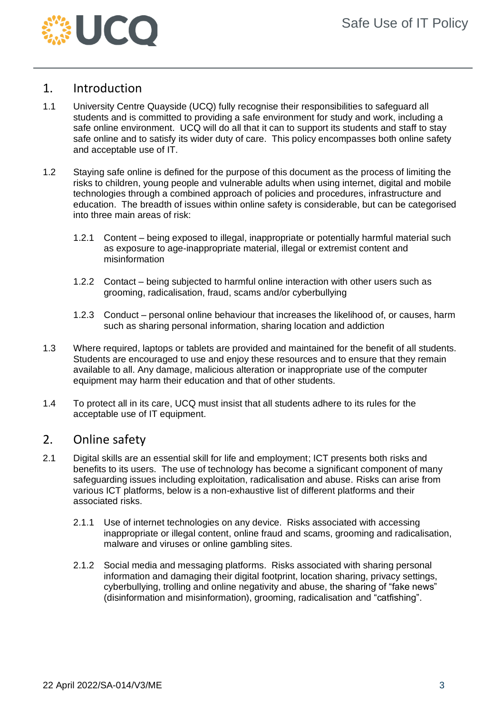

## <span id="page-2-0"></span>1. Introduction

- 1.1 University Centre Quayside (UCQ) fully recognise their responsibilities to safeguard all students and is committed to providing a safe environment for study and work, including a safe online environment. UCQ will do all that it can to support its students and staff to stay safe online and to satisfy its wider duty of care. This policy encompasses both online safety and acceptable use of IT.
- 1.2 Staying safe online is defined for the purpose of this document as the process of limiting the risks to children, young people and vulnerable adults when using internet, digital and mobile technologies through a combined approach of policies and procedures, infrastructure and education. The breadth of issues within online safety is considerable, but can be categorised into three main areas of risk:
	- 1.2.1 Content being exposed to illegal, inappropriate or potentially harmful material such as exposure to age-inappropriate material, illegal or extremist content and misinformation
	- 1.2.2 Contact being subjected to harmful online interaction with other users such as grooming, radicalisation, fraud, scams and/or cyberbullying
	- 1.2.3 Conduct personal online behaviour that increases the likelihood of, or causes, harm such as sharing personal information, sharing location and addiction
- 1.3 Where required, laptops or tablets are provided and maintained for the benefit of all students. Students are encouraged to use and enjoy these resources and to ensure that they remain available to all. Any damage, malicious alteration or inappropriate use of the computer equipment may harm their education and that of other students.
- 1.4 To protect all in its care, UCQ must insist that all students adhere to its rules for the acceptable use of IT equipment.

## <span id="page-2-1"></span>2. Online safety

- 2.1 Digital skills are an essential skill for life and employment; ICT presents both risks and benefits to its users. The use of technology has become a significant component of many safeguarding issues including exploitation, radicalisation and abuse. Risks can arise from various ICT platforms, below is a non-exhaustive list of different platforms and their associated risks.
	- 2.1.1 Use of internet technologies on any device. Risks associated with accessing inappropriate or illegal content, online fraud and scams, grooming and radicalisation, malware and viruses or online gambling sites.
	- 2.1.2 Social media and messaging platforms. Risks associated with sharing personal information and damaging their digital footprint, location sharing, privacy settings, cyberbullying, trolling and online negativity and abuse, the sharing of "fake news" (disinformation and misinformation), grooming, radicalisation and "catfishing".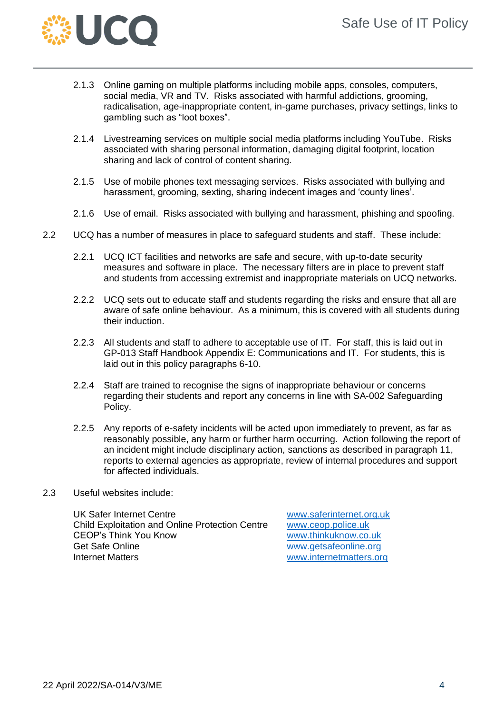

- 2.1.3 Online gaming on multiple platforms including mobile apps, consoles, computers, social media, VR and TV. Risks associated with harmful addictions, grooming, radicalisation, age-inappropriate content, in-game purchases, privacy settings, links to gambling such as "loot boxes".
- 2.1.4 Livestreaming services on multiple social media platforms including YouTube. Risks associated with sharing personal information, damaging digital footprint, location sharing and lack of control of content sharing.
- 2.1.5 Use of mobile phones text messaging services. Risks associated with bullying and harassment, grooming, sexting, sharing indecent images and 'county lines'.
- 2.1.6 Use of email. Risks associated with bullying and harassment, phishing and spoofing.
- 2.2 UCQ has a number of measures in place to safeguard students and staff. These include:
	- 2.2.1 UCQ ICT facilities and networks are safe and secure, with up-to-date security measures and software in place. The necessary filters are in place to prevent staff and students from accessing extremist and inappropriate materials on UCQ networks.
	- 2.2.2 UCQ sets out to educate staff and students regarding the risks and ensure that all are aware of safe online behaviour. As a minimum, this is covered with all students during their induction.
	- 2.2.3 All students and staff to adhere to acceptable use of IT. For staff, this is laid out in GP-013 Staff Handbook Appendix E: Communications and IT. For students, this is laid out in this policy paragraphs 6-10.
	- 2.2.4 Staff are trained to recognise the signs of inappropriate behaviour or concerns regarding their students and report any concerns in line with SA-002 Safeguarding Policy.
	- 2.2.5 Any reports of e-safety incidents will be acted upon immediately to prevent, as far as reasonably possible, any harm or further harm occurring. Action following the report of an incident might include disciplinary action, sanctions as described in paragraph 11, reports to external agencies as appropriate, review of internal procedures and support for affected individuals.
- 2.3 Useful websites include:

UK Safer Internet Centre<br>
Child Exploitation and Online Protection Centre<br>
www.ceop.police.uk Child Exploitation and Online Protection Centre CEOP's Think You Know [www.thinkuknow.co.uk](http://www.thinkuknow.co.uk/) Get Safe Online [www.getsafeonline.org](http://www.getsafeonline.org/) Internet Matters [www.internetmatters.org](http://www.internetmatters.org/)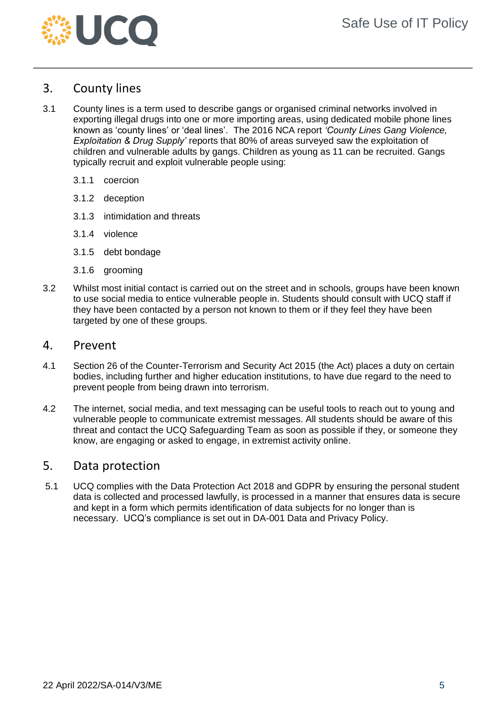

## <span id="page-4-0"></span>3. County lines

- 3.1 County lines is a term used to describe gangs or organised criminal networks involved in exporting illegal drugs into one or more importing areas, using dedicated mobile phone lines known as 'county lines' or 'deal lines'. The 2016 NCA report *'County Lines Gang Violence, Exploitation & Drug Supply'* reports that 80% of areas surveyed saw the exploitation of children and vulnerable adults by gangs. Children as young as 11 can be recruited. Gangs typically recruit and exploit vulnerable people using:
	- 3.1.1 coercion
	- 3.1.2 deception
	- 3.1.3 intimidation and threats
	- 3.1.4 violence
	- 3.1.5 debt bondage
	- 3.1.6 grooming
- 3.2 Whilst most initial contact is carried out on the street and in schools, groups have been known to use social media to entice vulnerable people in. Students should consult with UCQ staff if they have been contacted by a person not known to them or if they feel they have been targeted by one of these groups.

#### <span id="page-4-1"></span>4. Prevent

- 4.1 Section 26 of the Counter-Terrorism and Security Act 2015 (the Act) places a duty on certain bodies, including further and higher education institutions, to have due regard to the need to prevent people from being drawn into terrorism.
- 4.2 The internet, social media, and text messaging can be useful tools to reach out to young and vulnerable people to communicate extremist messages. All students should be aware of this threat and contact the UCQ Safeguarding Team as soon as possible if they, or someone they know, are engaging or asked to engage, in extremist activity online.

## <span id="page-4-2"></span>5. Data protection

5.1 UCQ complies with the Data Protection Act 2018 and GDPR by ensuring the personal student data is collected and processed lawfully, is processed in a manner that ensures data is secure and kept in a form which permits identification of data subjects for no longer than is necessary. UCQ's compliance is set out in DA-001 Data and Privacy Policy.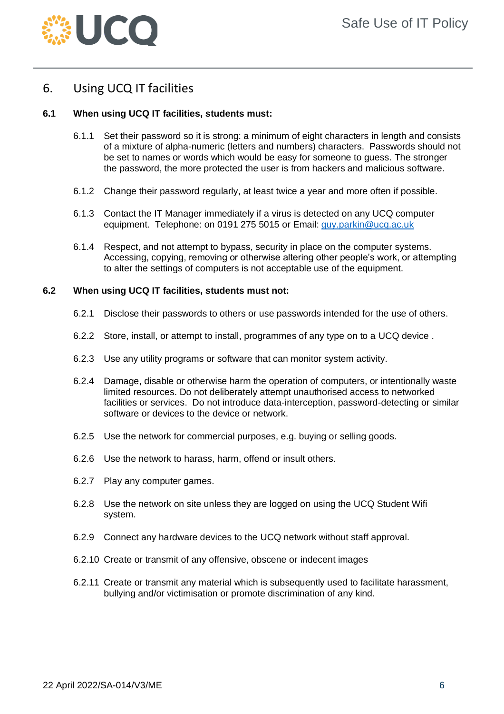

## <span id="page-5-0"></span>6. Using UCQ IT facilities

#### **6.1 When using UCQ IT facilities, students must:**

- 6.1.1 Set their password so it is strong: a minimum of eight characters in length and consists of a mixture of alpha-numeric (letters and numbers) characters. Passwords should not be set to names or words which would be easy for someone to guess. The stronger the password, the more protected the user is from hackers and malicious software.
- 6.1.2 Change their password regularly, at least twice a year and more often if possible.
- 6.1.3 Contact the IT Manager immediately if a virus is detected on any UCQ computer equipment. Telephone: on 0191 275 5015 or Email: [guy.parkin@ucq.ac.uk](mailto:guy.parkin@ucq.ac.uk)
- 6.1.4 Respect, and not attempt to bypass, security in place on the computer systems. Accessing, copying, removing or otherwise altering other people's work, or attempting to alter the settings of computers is not acceptable use of the equipment.

#### **6.2 When using UCQ IT facilities, students must not:**

- 6.2.1 Disclose their passwords to others or use passwords intended for the use of others.
- 6.2.2 Store, install, or attempt to install, programmes of any type on to a UCQ device .
- 6.2.3 Use any utility programs or software that can monitor system activity.
- 6.2.4 Damage, disable or otherwise harm the operation of computers, or intentionally waste limited resources. Do not deliberately attempt unauthorised access to networked facilities or services. Do not introduce data-interception, password-detecting or similar software or devices to the device or network.
- 6.2.5 Use the network for commercial purposes, e.g. buying or selling goods.
- 6.2.6 Use the network to harass, harm, offend or insult others.
- 6.2.7 Play any computer games.
- 6.2.8 Use the network on site unless they are logged on using the UCQ Student Wifi system.
- 6.2.9 Connect any hardware devices to the UCQ network without staff approval.
- 6.2.10 Create or transmit of any offensive, obscene or indecent images
- 6.2.11 Create or transmit any material which is subsequently used to facilitate harassment, bullying and/or victimisation or promote discrimination of any kind.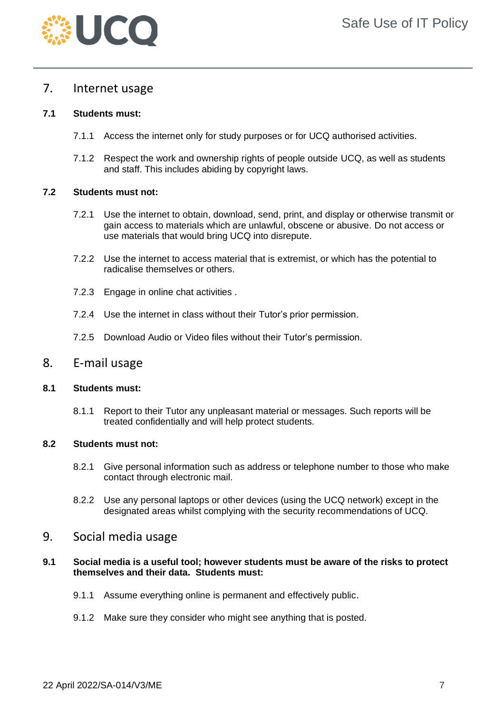

## <span id="page-6-0"></span>7. Internet usage

#### **7.1 Students must:**

- 7.1.1 Access the internet only for study purposes or for UCQ authorised activities.
- 7.1.2 Respect the work and ownership rights of people outside UCQ, as well as students and staff. This includes abiding by copyright laws.

#### **7.2 Students must not:**

- 7.2.1 Use the internet to obtain, download, send, print, and display or otherwise transmit or gain access to materials which are unlawful, obscene or abusive. Do not access or use materials that would bring UCQ into disrepute.
- 7.2.2 Use the internet to access material that is extremist, or which has the potential to radicalise themselves or others.
- 7.2.3 Engage in online chat activities .
- 7.2.4 Use the internet in class without their Tutor's prior permission.
- 7.2.5 Download Audio or Video files without their Tutor's permission.

#### <span id="page-6-1"></span>8. E-mail usage

#### **8.1 Students must:**

8.1.1 Report to their Tutor any unpleasant material or messages. Such reports will be treated confidentially and will help protect students.

#### **8.2 Students must not:**

- 8.2.1 Give personal information such as address or telephone number to those who make contact through electronic mail.
- 8.2.2 Use any personal laptops or other devices (using the UCQ network) except in the designated areas whilst complying with the security recommendations of UCQ.

### <span id="page-6-2"></span>9. Social media usage

#### **9.1 Social media is a useful tool; however students must be aware of the risks to protect themselves and their data. Students must:**

- 9.1.1 Assume everything online is permanent and effectively public.
- 9.1.2 Make sure they consider who might see anything that is posted.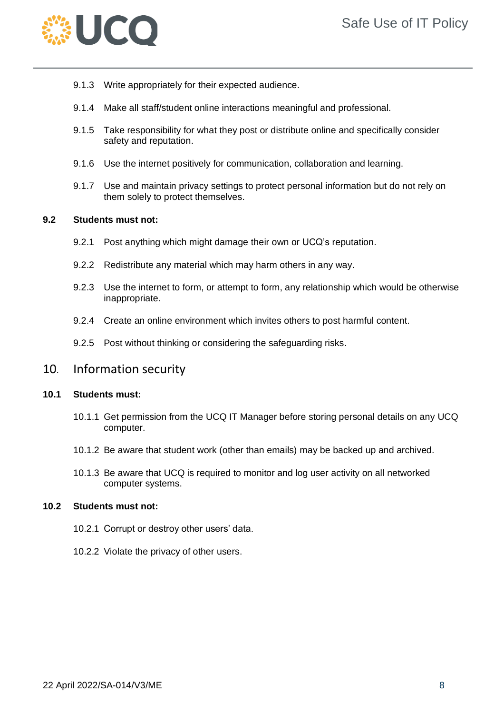

- 9.1.3 Write appropriately for their expected audience.
- 9.1.4 Make all staff/student online interactions meaningful and professional.
- 9.1.5 Take responsibility for what they post or distribute online and specifically consider safety and reputation.
- 9.1.6 Use the internet positively for communication, collaboration and learning.
- 9.1.7 Use and maintain privacy settings to protect personal information but do not rely on them solely to protect themselves.

#### **9.2 Students must not:**

- 9.2.1 Post anything which might damage their own or UCQ's reputation.
- 9.2.2 Redistribute any material which may harm others in any way.
- 9.2.3 Use the internet to form, or attempt to form, any relationship which would be otherwise inappropriate.
- 9.2.4 Create an online environment which invites others to post harmful content.
- 9.2.5 Post without thinking or considering the safeguarding risks.

### <span id="page-7-0"></span>10. Information security

#### **10.1 Students must:**

- 10.1.1 Get permission from the UCQ IT Manager before storing personal details on any UCQ computer.
- 10.1.2 Be aware that student work (other than emails) may be backed up and archived.
- 10.1.3 Be aware that UCQ is required to monitor and log user activity on all networked computer systems.

#### **10.2 Students must not:**

- 10.2.1 Corrupt or destroy other users' data.
- 10.2.2 Violate the privacy of other users.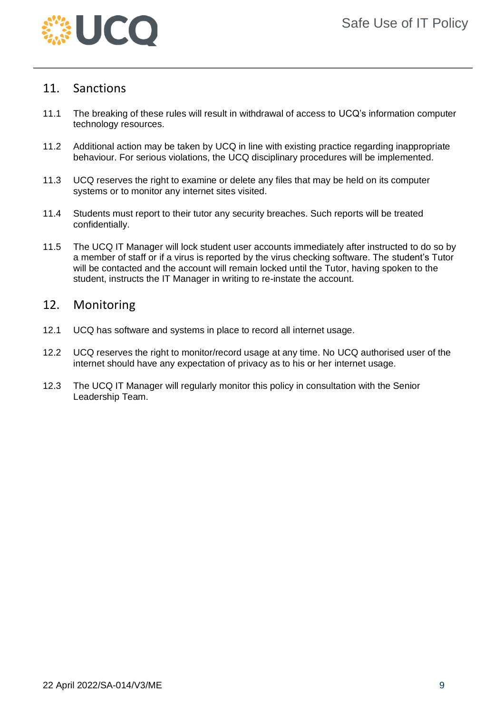

## <span id="page-8-0"></span>11. Sanctions

- 11.1 The breaking of these rules will result in withdrawal of access to UCQ's information computer technology resources.
- 11.2 Additional action may be taken by UCQ in line with existing practice regarding inappropriate behaviour. For serious violations, the UCQ disciplinary procedures will be implemented.
- 11.3 UCQ reserves the right to examine or delete any files that may be held on its computer systems or to monitor any internet sites visited.
- 11.4 Students must report to their tutor any security breaches. Such reports will be treated confidentially.
- 11.5 The UCQ IT Manager will lock student user accounts immediately after instructed to do so by a member of staff or if a virus is reported by the virus checking software. The student's Tutor will be contacted and the account will remain locked until the Tutor, having spoken to the student, instructs the IT Manager in writing to re-instate the account.

## <span id="page-8-1"></span>12. Monitoring

- 12.1 UCQ has software and systems in place to record all internet usage.
- 12.2 UCQ reserves the right to monitor/record usage at any time. No UCQ authorised user of the internet should have any expectation of privacy as to his or her internet usage.
- 12.3 The UCQ IT Manager will regularly monitor this policy in consultation with the Senior Leadership Team.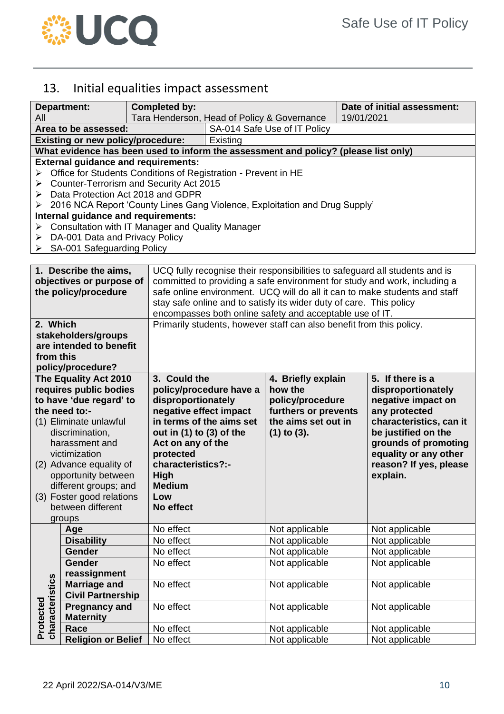

## <span id="page-9-0"></span>13. Initial equalities impact assessment

|                              | <b>Department:</b>                                                                                                | <b>Completed by:</b>         |                                                                                                                                                         |                                             | Date of initial assessment:                                                 |  |  |  |
|------------------------------|-------------------------------------------------------------------------------------------------------------------|------------------------------|---------------------------------------------------------------------------------------------------------------------------------------------------------|---------------------------------------------|-----------------------------------------------------------------------------|--|--|--|
| All                          |                                                                                                                   |                              |                                                                                                                                                         | Tara Henderson, Head of Policy & Governance | 19/01/2021                                                                  |  |  |  |
|                              | Area to be assessed:                                                                                              |                              |                                                                                                                                                         | SA-014 Safe Use of IT Policy                |                                                                             |  |  |  |
|                              | <b>Existing or new policy/procedure:</b>                                                                          |                              | Existing<br>What evidence has been used to inform the assessment and policy? (please list only)                                                         |                                             |                                                                             |  |  |  |
|                              |                                                                                                                   |                              |                                                                                                                                                         |                                             |                                                                             |  |  |  |
|                              | <b>External guidance and requirements:</b>                                                                        |                              |                                                                                                                                                         |                                             |                                                                             |  |  |  |
| ➤                            | Office for Students Conditions of Registration - Prevent in HE                                                    |                              |                                                                                                                                                         |                                             |                                                                             |  |  |  |
| ➤                            | Counter-Terrorism and Security Act 2015                                                                           |                              |                                                                                                                                                         |                                             |                                                                             |  |  |  |
| ➤                            | Data Protection Act 2018 and GDPR                                                                                 |                              |                                                                                                                                                         |                                             |                                                                             |  |  |  |
| ➤                            | 2016 NCA Report 'County Lines Gang Violence, Exploitation and Drug Supply'<br>Internal guidance and requirements: |                              |                                                                                                                                                         |                                             |                                                                             |  |  |  |
| ➤                            | Consultation with IT Manager and Quality Manager                                                                  |                              |                                                                                                                                                         |                                             |                                                                             |  |  |  |
|                              | $\triangleright$ DA-001 Data and Privacy Policy                                                                   |                              |                                                                                                                                                         |                                             |                                                                             |  |  |  |
|                              | $\triangleright$ SA-001 Safeguarding Policy                                                                       |                              |                                                                                                                                                         |                                             |                                                                             |  |  |  |
|                              |                                                                                                                   |                              |                                                                                                                                                         |                                             |                                                                             |  |  |  |
|                              | 1. Describe the aims,                                                                                             |                              |                                                                                                                                                         |                                             | UCQ fully recognise their responsibilities to safeguard all students and is |  |  |  |
|                              | objectives or purpose of                                                                                          |                              |                                                                                                                                                         |                                             |                                                                             |  |  |  |
|                              | the policy/procedure                                                                                              |                              | committed to providing a safe environment for study and work, including a<br>safe online environment. UCQ will do all it can to make students and staff |                                             |                                                                             |  |  |  |
|                              |                                                                                                                   |                              | stay safe online and to satisfy its wider duty of care. This policy                                                                                     |                                             |                                                                             |  |  |  |
|                              |                                                                                                                   |                              | encompasses both online safety and acceptable use of IT.                                                                                                |                                             |                                                                             |  |  |  |
| 2. Which                     |                                                                                                                   |                              | Primarily students, however staff can also benefit from this policy.                                                                                    |                                             |                                                                             |  |  |  |
|                              | stakeholders/groups                                                                                               |                              |                                                                                                                                                         |                                             |                                                                             |  |  |  |
|                              | are intended to benefit                                                                                           |                              |                                                                                                                                                         |                                             |                                                                             |  |  |  |
| from this                    |                                                                                                                   |                              |                                                                                                                                                         |                                             |                                                                             |  |  |  |
|                              | policy/procedure?                                                                                                 |                              |                                                                                                                                                         |                                             |                                                                             |  |  |  |
| The Equality Act 2010        |                                                                                                                   | 3. Could the                 |                                                                                                                                                         | 4. Briefly explain                          | 5. If there is a                                                            |  |  |  |
|                              |                                                                                                                   |                              |                                                                                                                                                         |                                             |                                                                             |  |  |  |
|                              | requires public bodies                                                                                            |                              | policy/procedure have a                                                                                                                                 | how the                                     | disproportionately                                                          |  |  |  |
|                              | to have 'due regard' to                                                                                           | disproportionately           |                                                                                                                                                         | policy/procedure                            | negative impact on                                                          |  |  |  |
|                              | the need to:-                                                                                                     | negative effect impact       |                                                                                                                                                         | furthers or prevents                        | any protected                                                               |  |  |  |
|                              | (1) Eliminate unlawful                                                                                            |                              | in terms of the aims set                                                                                                                                | the aims set out in                         | characteristics, can it                                                     |  |  |  |
|                              | discrimination,                                                                                                   | out in $(1)$ to $(3)$ of the |                                                                                                                                                         | $(1)$ to $(3)$ .                            | be justified on the                                                         |  |  |  |
|                              | harassment and                                                                                                    | Act on any of the            |                                                                                                                                                         |                                             | grounds of promoting                                                        |  |  |  |
|                              | victimization                                                                                                     | protected                    |                                                                                                                                                         |                                             | equality or any other                                                       |  |  |  |
|                              | (2) Advance equality of                                                                                           | characteristics?:-           |                                                                                                                                                         |                                             | reason? If yes, please                                                      |  |  |  |
|                              | opportunity between                                                                                               | <b>High</b>                  |                                                                                                                                                         |                                             | explain.                                                                    |  |  |  |
|                              | different groups; and                                                                                             | <b>Medium</b>                |                                                                                                                                                         |                                             |                                                                             |  |  |  |
|                              | (3) Foster good relations                                                                                         | Low                          |                                                                                                                                                         |                                             |                                                                             |  |  |  |
|                              | between different                                                                                                 | No effect                    |                                                                                                                                                         |                                             |                                                                             |  |  |  |
|                              | groups                                                                                                            |                              |                                                                                                                                                         |                                             |                                                                             |  |  |  |
|                              | Age                                                                                                               | No effect                    |                                                                                                                                                         | Not applicable                              | Not applicable                                                              |  |  |  |
|                              | <b>Disability</b>                                                                                                 | No effect                    |                                                                                                                                                         | Not applicable                              | Not applicable                                                              |  |  |  |
|                              | Gender                                                                                                            | No effect                    |                                                                                                                                                         | Not applicable                              | Not applicable                                                              |  |  |  |
|                              | Gender                                                                                                            | No effect                    |                                                                                                                                                         | Not applicable                              | Not applicable                                                              |  |  |  |
|                              | reassignment                                                                                                      |                              |                                                                                                                                                         |                                             |                                                                             |  |  |  |
|                              | <b>Marriage and</b>                                                                                               | No effect                    |                                                                                                                                                         | Not applicable                              | Not applicable                                                              |  |  |  |
|                              | <b>Civil Partnership</b>                                                                                          |                              |                                                                                                                                                         |                                             |                                                                             |  |  |  |
|                              | <b>Pregnancy and</b>                                                                                              | No effect                    |                                                                                                                                                         | Not applicable                              | Not applicable                                                              |  |  |  |
| characteristics<br>Protected | <b>Maternity</b><br>Race                                                                                          | No effect                    |                                                                                                                                                         | Not applicable                              | Not applicable                                                              |  |  |  |

**Race** Note Note Not applicable Not applicable **Religion or Belief** No effect Not applicable Not applicable